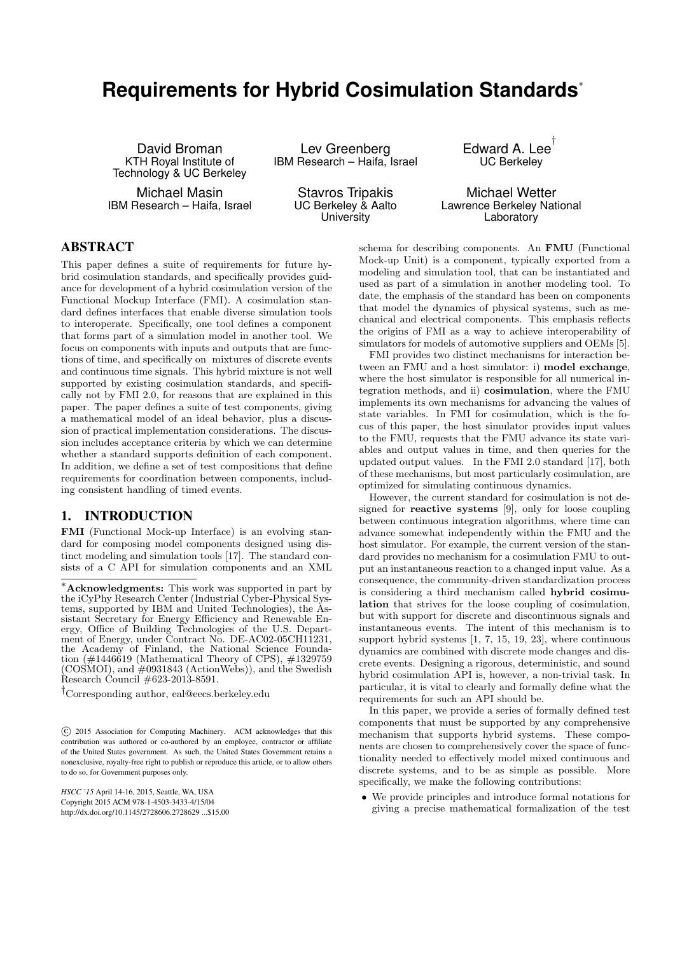# **Requirements for Hybrid Cosimulation Standards**<sup>∗</sup>

David Broman KTH Royal Institute of Technology & UC Berkeley

Michael Masin IBM Research – Haifa, Israel

Lev Greenberg IBM Research – Haifa, Israel

> Stavros Tripakis UC Berkeley & Aalto **University**

Edward A. Lee<sup>†</sup> UC Berkeley

Michael Wetter Lawrence Berkeley National Laboratory

# ABSTRACT

This paper defines a suite of requirements for future hybrid cosimulation standards, and specifically provides guidance for development of a hybrid cosimulation version of the Functional Mockup Interface (FMI). A cosimulation standard defines interfaces that enable diverse simulation tools to interoperate. Specifically, one tool defines a component that forms part of a simulation model in another tool. We focus on components with inputs and outputs that are functions of time, and specifically on mixtures of discrete events and continuous time signals. This hybrid mixture is not well supported by existing cosimulation standards, and specifically not by FMI 2.0, for reasons that are explained in this paper. The paper defines a suite of test components, giving a mathematical model of an ideal behavior, plus a discussion of practical implementation considerations. The discussion includes acceptance criteria by which we can determine whether a standard supports definition of each component. In addition, we define a set of test compositions that define requirements for coordination between components, including consistent handling of timed events.

## 1. INTRODUCTION

FMI (Functional Mock-up Interface) is an evolving standard for composing model components designed using distinct modeling and simulation tools [17]. The standard consists of a C API for simulation components and an XML

†Corresponding author, eal@eecs.berkeley.edu

*HSCC '15* April 14-16, 2015, Seattle, WA, USA Copyright 2015 ACM 978-1-4503-3433-4/15/04 http://dx.doi.org/10.1145/2728606.2728629 ...\$15.00 schema for describing components. An FMU (Functional Mock-up Unit) is a component, typically exported from a modeling and simulation tool, that can be instantiated and used as part of a simulation in another modeling tool. To date, the emphasis of the standard has been on components that model the dynamics of physical systems, such as mechanical and electrical components. This emphasis reflects the origins of FMI as a way to achieve interoperability of simulators for models of automotive suppliers and OEMs [5].

FMI provides two distinct mechanisms for interaction between an FMU and a host simulator: i) model exchange, where the host simulator is responsible for all numerical integration methods, and ii) cosimulation, where the FMU implements its own mechanisms for advancing the values of state variables. In FMI for cosimulation, which is the focus of this paper, the host simulator provides input values to the FMU, requests that the FMU advance its state variables and output values in time, and then queries for the updated output values. In the FMI 2.0 standard [17], both of these mechanisms, but most particularly cosimulation, are optimized for simulating continuous dynamics.

However, the current standard for cosimulation is not designed for reactive systems [9], only for loose coupling between continuous integration algorithms, where time can advance somewhat independently within the FMU and the host simulator. For example, the current version of the standard provides no mechanism for a cosimulation FMU to output an instantaneous reaction to a changed input value. As a consequence, the community-driven standardization process is considering a third mechanism called hybrid cosimulation that strives for the loose coupling of cosimulation, but with support for discrete and discontinuous signals and instantaneous events. The intent of this mechanism is to support hybrid systems [1, 7, 15, 19, 23], where continuous dynamics are combined with discrete mode changes and discrete events. Designing a rigorous, deterministic, and sound hybrid cosimulation API is, however, a non-trivial task. In particular, it is vital to clearly and formally define what the requirements for such an API should be.

In this paper, we provide a series of formally defined test components that must be supported by any comprehensive mechanism that supports hybrid systems. These components are chosen to comprehensively cover the space of functionality needed to effectively model mixed continuous and discrete systems, and to be as simple as possible. More specifically, we make the following contributions:

• We provide principles and introduce formal notations for giving a precise mathematical formalization of the test

<sup>∗</sup>Acknowledgments: This work was supported in part by the iCyPhy Research Center (Industrial Cyber-Physical Systems, supported by IBM and United Technologies), the Assistant Secretary for Energy Efficiency and Renewable Energy, Office of Building Technologies of the U.S. Department of Energy, under Contract No. DE-AC02-05CH11231, the Academy of Finland, the National Science Foundation (#1446619 (Mathematical Theory of CPS), #1329759 (COSMOI), and #0931843 (ActionWebs)), and the Swedish Research Council #623-2013-8591.

c 2015 Association for Computing Machinery. ACM acknowledges that this contribution was authored or co-authored by an employee, contractor or affiliate of the United States government. As such, the United States Government retains a nonexclusive, royalty-free right to publish or reproduce this article, or to allow others to do so, for Government purposes only.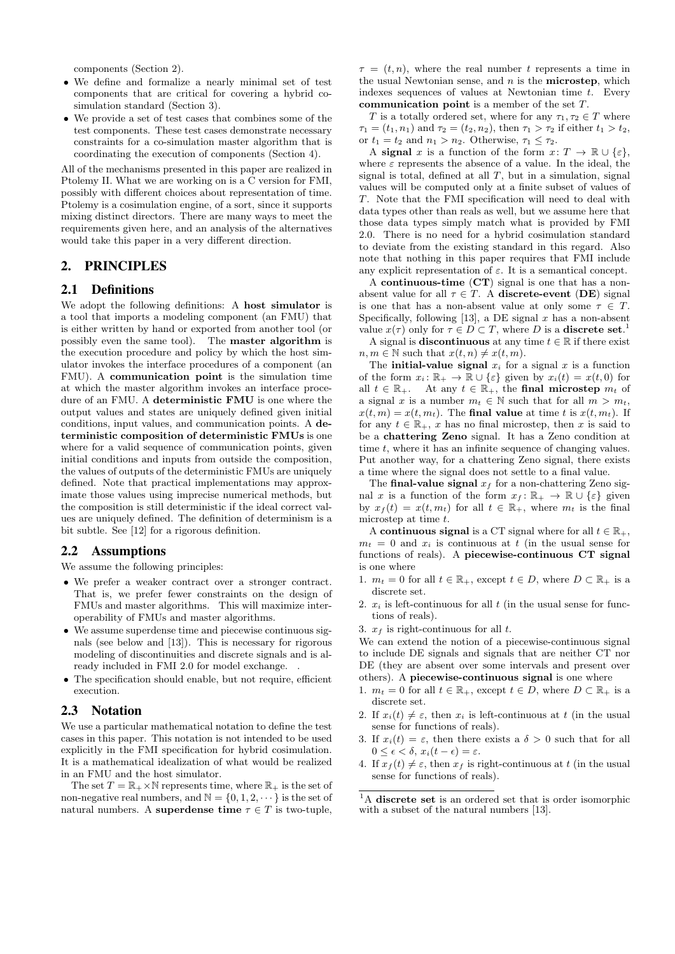components (Section 2).

- We define and formalize a nearly minimal set of test components that are critical for covering a hybrid cosimulation standard (Section 3).
- We provide a set of test cases that combines some of the test components. These test cases demonstrate necessary constraints for a co-simulation master algorithm that is coordinating the execution of components (Section 4).

All of the mechanisms presented in this paper are realized in Ptolemy II. What we are working on is a C version for FMI, possibly with different choices about representation of time. Ptolemy is a cosimulation engine, of a sort, since it supports mixing distinct directors. There are many ways to meet the requirements given here, and an analysis of the alternatives would take this paper in a very different direction.

# 2. PRINCIPLES

## 2.1 Definitions

We adopt the following definitions: A host simulator is a tool that imports a modeling component (an FMU) that is either written by hand or exported from another tool (or possibly even the same tool). The master algorithm is the execution procedure and policy by which the host simulator invokes the interface procedures of a component (an FMU). A communication point is the simulation time at which the master algorithm invokes an interface procedure of an FMU. A deterministic FMU is one where the output values and states are uniquely defined given initial conditions, input values, and communication points. A deterministic composition of deterministic FMUs is one where for a valid sequence of communication points, given initial conditions and inputs from outside the composition, the values of outputs of the deterministic FMUs are uniquely defined. Note that practical implementations may approximate those values using imprecise numerical methods, but the composition is still deterministic if the ideal correct values are uniquely defined. The definition of determinism is a bit subtle. See [12] for a rigorous definition.

#### 2.2 Assumptions

We assume the following principles:

- We prefer a weaker contract over a stronger contract. That is, we prefer fewer constraints on the design of FMUs and master algorithms. This will maximize interoperability of FMUs and master algorithms.
- We assume superdense time and piecewise continuous signals (see below and [13]). This is necessary for rigorous modeling of discontinuities and discrete signals and is already included in FMI 2.0 for model exchange. .
- The specification should enable, but not require, efficient execution.

## 2.3 Notation

We use a particular mathematical notation to define the test cases in this paper. This notation is not intended to be used explicitly in the FMI specification for hybrid cosimulation. It is a mathematical idealization of what would be realized in an FMU and the host simulator.

The set  $T = \mathbb{R}_+ \times \mathbb{N}$  represents time, where  $\mathbb{R}_+$  is the set of non-negative real numbers, and  $\mathbb{N} = \{0, 1, 2, \dots\}$  is the set of natural numbers. A superdense time  $\tau \in T$  is two-tuple,

 $\tau = (t, n)$ , where the real number t represents a time in the usual Newtonian sense, and  $n$  is the **microstep**, which indexes sequences of values at Newtonian time  $t$ . Every communication point is a member of the set T.

T is a totally ordered set, where for any  $\tau_1, \tau_2 \in T$  where  $\tau_1 = (t_1, n_1)$  and  $\tau_2 = (t_2, n_2)$ , then  $\tau_1 > \tau_2$  if either  $t_1 > t_2$ , or  $t_1 = t_2$  and  $n_1 > n_2$ . Otherwise,  $\tau_1 \leq \tau_2$ .

A signal x is a function of the form  $x: T \to \mathbb{R} \cup \{\varepsilon\},\$ where  $\varepsilon$  represents the absence of a value. In the ideal, the signal is total, defined at all  $T$ , but in a simulation, signal values will be computed only at a finite subset of values of T. Note that the FMI specification will need to deal with data types other than reals as well, but we assume here that those data types simply match what is provided by FMI 2.0. There is no need for a hybrid cosimulation standard to deviate from the existing standard in this regard. Also note that nothing in this paper requires that FMI include any explicit representation of  $\varepsilon$ . It is a semantical concept.

A **continuous-time**  $(CT)$  signal is one that has a nonabsent value for all  $\tau \in T$ . A **discrete-event** (**DE**) signal is one that has a non-absent value at only some  $\tau \in T$ . Specifically, following [13], a DE signal  $x$  has a non-absent value  $x(\tau)$  only for  $\tau \in D \subset T$ , where D is a **discrete set**.<sup>1</sup>

A signal is **discontinuous** at any time  $t \in \mathbb{R}$  if there exist  $n, m \in \mathbb{N}$  such that  $x(t, n) \neq x(t, m)$ .

The **initial-value signal**  $x_i$  for a signal x is a function of the form  $x_i : \mathbb{R}_+ \to \mathbb{R} \cup {\varepsilon}$  given by  $x_i(t) = x(t, 0)$  for all  $t \in \mathbb{R}_+$ . At any  $t \in \mathbb{R}_+$ , the final microstep  $m_t$  of a signal x is a number  $m_t \in \mathbb{N}$  such that for all  $m > m_t$ ,  $x(t, m) = x(t, m_t)$ . The final value at time t is  $x(t, m_t)$ . If for any  $t \in \mathbb{R}_+$ , x has no final microstep, then x is said to be a chattering Zeno signal. It has a Zeno condition at time t, where it has an infinite sequence of changing values. Put another way, for a chattering Zeno signal, there exists a time where the signal does not settle to a final value.

The final-value signal  $x_f$  for a non-chattering Zeno signal x is a function of the form  $x_f : \mathbb{R}_+ \to \mathbb{R} \cup {\varepsilon}$  given by  $x_f(t) = x(t, m_t)$  for all  $t \in \mathbb{R}_+$ , where  $m_t$  is the final microstep at time t.

A continuous signal is a CT signal where for all  $t \in \mathbb{R}_+$ ,  $m_t = 0$  and  $x_i$  is continuous at t (in the usual sense for functions of reals). A piecewise-continuous CT signal is one where

- 1.  $m_t = 0$  for all  $t \in \mathbb{R}_+$ , except  $t \in D$ , where  $D \subset \mathbb{R}_+$  is a discrete set.
- 2.  $x_i$  is left-continuous for all t (in the usual sense for functions of reals).
- 3.  $x_f$  is right-continuous for all t.

We can extend the notion of a piecewise-continuous signal to include DE signals and signals that are neither CT nor DE (they are absent over some intervals and present over others). A piecewise-continuous signal is one where

- 1.  $m_t = 0$  for all  $t \in \mathbb{R}_+$ , except  $t \in D$ , where  $D \subset \mathbb{R}_+$  is a discrete set.
- 2. If  $x_i(t) \neq \varepsilon$ , then  $x_i$  is left-continuous at t (in the usual sense for functions of reals).
- 3. If  $x_i(t) = \varepsilon$ , then there exists a  $\delta > 0$  such that for all  $0 \leq \epsilon \leq \delta, x_i(t - \epsilon) = \epsilon.$
- 4. If  $x_f(t) \neq \varepsilon$ , then  $x_f$  is right-continuous at t (in the usual sense for functions of reals).

<sup>1</sup>A discrete set is an ordered set that is order isomorphic with a subset of the natural numbers [13].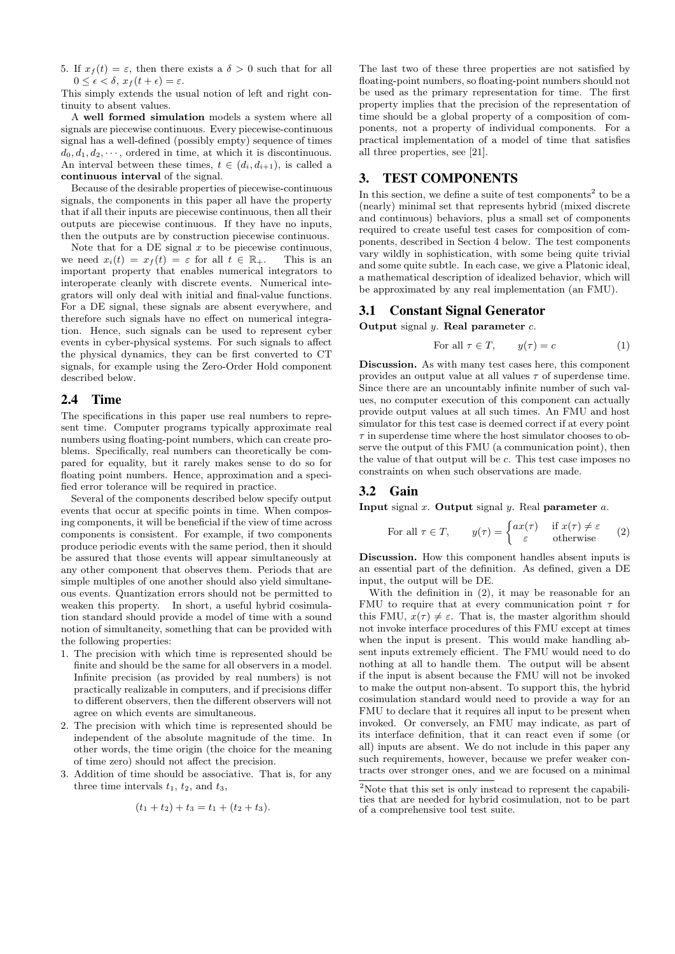5. If  $x_f(t) = \varepsilon$ , then there exists a  $\delta > 0$  such that for all  $0 \leq \epsilon < \delta, x_f(t + \epsilon) = \varepsilon.$ 

This simply extends the usual notion of left and right continuity to absent values.

A well formed simulation models a system where all signals are piecewise continuous. Every piecewise-continuous signal has a well-defined (possibly empty) sequence of times  $d_0, d_1, d_2, \cdots$ , ordered in time, at which it is discontinuous. An interval between these times,  $t \in (d_i, d_{i+1})$ , is called a continuous interval of the signal.

Because of the desirable properties of piecewise-continuous signals, the components in this paper all have the property that if all their inputs are piecewise continuous, then all their outputs are piecewise continuous. If they have no inputs, then the outputs are by construction piecewise continuous.

Note that for a DE signal  $x$  to be piecewise continuous, we need  $x_i(t) = x_f(t) = \varepsilon$  for all  $t \in \mathbb{R}_+$ . This is an important property that enables numerical integrators to interoperate cleanly with discrete events. Numerical integrators will only deal with initial and final-value functions. For a DE signal, these signals are absent everywhere, and therefore such signals have no effect on numerical integration. Hence, such signals can be used to represent cyber events in cyber-physical systems. For such signals to affect the physical dynamics, they can be first converted to CT signals, for example using the Zero-Order Hold component described below.

#### 2.4 Time

The specifications in this paper use real numbers to represent time. Computer programs typically approximate real numbers using floating-point numbers, which can create problems. Specifically, real numbers can theoretically be compared for equality, but it rarely makes sense to do so for floating point numbers. Hence, approximation and a specified error tolerance will be required in practice.

Several of the components described below specify output events that occur at specific points in time. When composing components, it will be beneficial if the view of time across components is consistent. For example, if two components produce periodic events with the same period, then it should be assured that those events will appear simultaneously at any other component that observes them. Periods that are simple multiples of one another should also yield simultaneous events. Quantization errors should not be permitted to weaken this property. In short, a useful hybrid cosimulation standard should provide a model of time with a sound notion of simultaneity, something that can be provided with the following properties:

- 1. The precision with which time is represented should be finite and should be the same for all observers in a model. Infinite precision (as provided by real numbers) is not practically realizable in computers, and if precisions differ to different observers, then the different observers will not agree on which events are simultaneous.
- 2. The precision with which time is represented should be independent of the absolute magnitude of the time. In other words, the time origin (the choice for the meaning of time zero) should not affect the precision.
- 3. Addition of time should be associative. That is, for any three time intervals  $t_1$ ,  $t_2$ , and  $t_3$ ,

$$
(t_1 + t_2) + t_3 = t_1 + (t_2 + t_3).
$$

The last two of these three properties are not satisfied by floating-point numbers, so floating-point numbers should not be used as the primary representation for time. The first property implies that the precision of the representation of time should be a global property of a composition of components, not a property of individual components. For a practical implementation of a model of time that satisfies all three properties, see [21].

# 3. TEST COMPONENTS

In this section, we define a suite of test components<sup>2</sup> to be a (nearly) minimal set that represents hybrid (mixed discrete and continuous) behaviors, plus a small set of components required to create useful test cases for composition of components, described in Section 4 below. The test components vary wildly in sophistication, with some being quite trivial and some quite subtle. In each case, we give a Platonic ideal, a mathematical description of idealized behavior, which will be approximated by any real implementation (an FMU).

#### 3.1 Constant Signal Generator

Output signal  $y$ . Real parameter  $c$ .

For all 
$$
\tau \in T
$$
,  $y(\tau) = c$  (1)

Discussion. As with many test cases here, this component provides an output value at all values  $\tau$  of superdense time. Since there are an uncountably infinite number of such values, no computer execution of this component can actually provide output values at all such times. An FMU and host simulator for this test case is deemed correct if at every point  $\tau$  in superdense time where the host simulator chooses to observe the output of this FMU (a communication point), then the value of that output will be c. This test case imposes no constraints on when such observations are made.

#### 3.2 Gain

Input signal  $x$ . Output signal  $y$ . Real parameter  $a$ .

For all 
$$
\tau \in T
$$
,  $y(\tau) = \begin{cases} ax(\tau) & \text{if } x(\tau) \neq \varepsilon \\ \varepsilon & \text{otherwise} \end{cases}$  (2)

Discussion. How this component handles absent inputs is an essential part of the definition. As defined, given a DE input, the output will be DE.

With the definition in (2), it may be reasonable for an FMU to require that at every communication point  $\tau$  for this FMU,  $x(\tau) \neq \varepsilon$ . That is, the master algorithm should not invoke interface procedures of this FMU except at times when the input is present. This would make handling absent inputs extremely efficient. The FMU would need to do nothing at all to handle them. The output will be absent if the input is absent because the FMU will not be invoked to make the output non-absent. To support this, the hybrid cosimulation standard would need to provide a way for an FMU to declare that it requires all input to be present when invoked. Or conversely, an FMU may indicate, as part of its interface definition, that it can react even if some (or all) inputs are absent. We do not include in this paper any such requirements, however, because we prefer weaker contracts over stronger ones, and we are focused on a minimal

<sup>&</sup>lt;sup>2</sup>Note that this set is only instead to represent the capabilities that are needed for hybrid cosimulation, not to be part of a comprehensive tool test suite.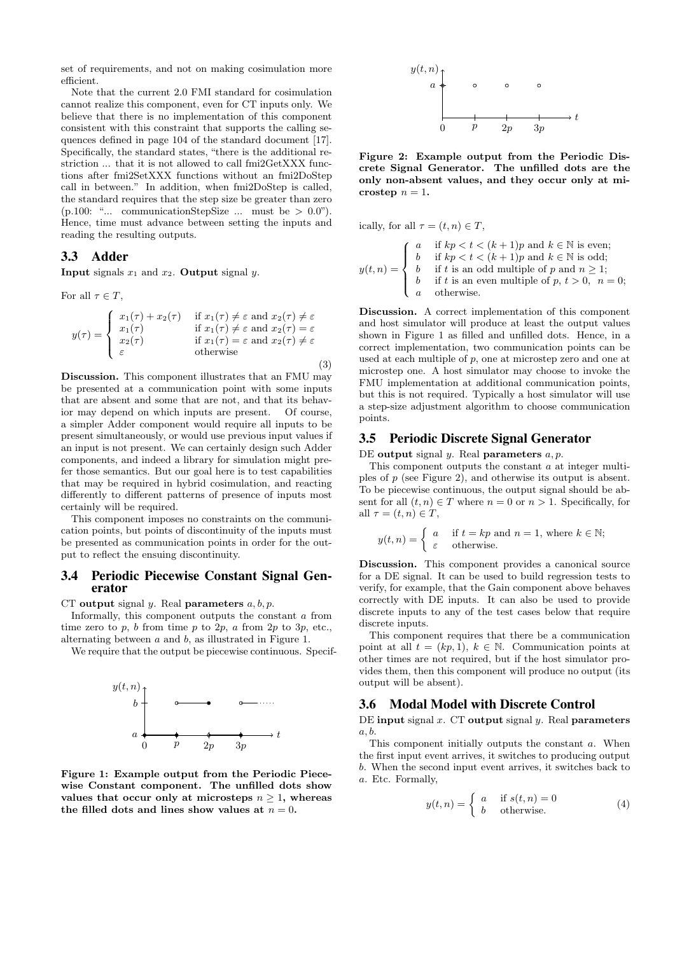set of requirements, and not on making cosimulation more efficient.

Note that the current 2.0 FMI standard for cosimulation cannot realize this component, even for CT inputs only. We believe that there is no implementation of this component consistent with this constraint that supports the calling sequences defined in page 104 of the standard document [17]. Specifically, the standard states, "there is the additional restriction ... that it is not allowed to call fmi2GetXXX functions after fmi2SetXXX functions without an fmi2DoStep call in between." In addition, when fmi2DoStep is called, the standard requires that the step size be greater than zero (p.100: " $\ldots$  communicationStepSize  $\ldots$  must be  $> 0.0$ "). Hence, time must advance between setting the inputs and reading the resulting outputs.

## 3.3 Adder

**Input** signals  $x_1$  and  $x_2$ . **Output** signal  $y$ .

For all  $\tau \in T$ ,

$$
y(\tau) = \begin{cases} x_1(\tau) + x_2(\tau) & \text{if } x_1(\tau) \neq \varepsilon \text{ and } x_2(\tau) \neq \varepsilon \\ x_1(\tau) & \text{if } x_1(\tau) \neq \varepsilon \text{ and } x_2(\tau) = \varepsilon \\ x_2(\tau) & \text{if } x_1(\tau) = \varepsilon \text{ and } x_2(\tau) \neq \varepsilon \\ \varepsilon & \text{otherwise} \end{cases}
$$
(3)

Discussion. This component illustrates that an FMU may be presented at a communication point with some inputs that are absent and some that are not, and that its behavior may depend on which inputs are present. Of course, a simpler Adder component would require all inputs to be present simultaneously, or would use previous input values if an input is not present. We can certainly design such Adder components, and indeed a library for simulation might prefer those semantics. But our goal here is to test capabilities that may be required in hybrid cosimulation, and reacting differently to different patterns of presence of inputs most certainly will be required.

This component imposes no constraints on the communication points, but points of discontinuity of the inputs must be presented as communication points in order for the output to reflect the ensuing discontinuity.

#### 3.4 Periodic Piecewise Constant Signal Generator

CT output signal  $y$ . Real parameters  $a, b, p$ .

Informally, this component outputs the constant a from time zero to p, b from time p to  $2p$ , a from  $2p$  to  $3p$ , etc., alternating between a and b, as illustrated in Figure 1.

We require that the output be piecewise continuous. Specif-



Figure 1: Example output from the Periodic Piecewise Constant component. The unfilled dots show values that occur only at microsteps  $n \geq 1$ , whereas the filled dots and lines show values at  $n = 0$ .



Figure 2: Example output from the Periodic Discrete Signal Generator. The unfilled dots are the only non-absent values, and they occur only at microstep  $n = 1$ .

ically, for all  $\tau = (t, n) \in T$ ,

$$
y(t,n) = \begin{cases} a & \text{if } kp < t < (k+1)p \text{ and } k \in \mathbb{N} \text{ is even;} \\ b & \text{if } kp < t < (k+1)p \text{ and } k \in \mathbb{N} \text{ is odd;} \\ b & \text{if } t \text{ is an odd multiple of } p \text{ and } n \ge 1; \\ b & \text{if } t \text{ is an even multiple of } p, t > 0, n = 0; \\ a & \text{otherwise.} \end{cases}
$$

Discussion. A correct implementation of this component and host simulator will produce at least the output values shown in Figure 1 as filled and unfilled dots. Hence, in a correct implementation, two communication points can be used at each multiple of p, one at microstep zero and one at microstep one. A host simulator may choose to invoke the FMU implementation at additional communication points, but this is not required. Typically a host simulator will use a step-size adjustment algorithm to choose communication points.

#### 3.5 Periodic Discrete Signal Generator

DE output signal  $y$ . Real parameters  $a, p$ .

This component outputs the constant a at integer multiples of p (see Figure 2), and otherwise its output is absent. To be piecewise continuous, the output signal should be absent for all  $(t, n) \in T$  where  $n = 0$  or  $n > 1$ . Specifically, for all  $\tau = (t, n) \in T$ ,

$$
y(t, n) = \begin{cases} a & \text{if } t = kp \text{ and } n = 1 \text{, where } k \in \mathbb{N}; \\ \varepsilon & \text{otherwise.} \end{cases}
$$

Discussion. This component provides a canonical source for a DE signal. It can be used to build regression tests to verify, for example, that the Gain component above behaves correctly with DE inputs. It can also be used to provide discrete inputs to any of the test cases below that require discrete inputs.

This component requires that there be a communication point at all  $t = (kp, 1), k \in \mathbb{N}$ . Communication points at other times are not required, but if the host simulator provides them, then this component will produce no output (its output will be absent).

#### 3.6 Modal Model with Discrete Control

DE input signal  $x$ . CT output signal  $y$ . Real parameters a, b.

This component initially outputs the constant a. When the first input event arrives, it switches to producing output b. When the second input event arrives, it switches back to a. Etc. Formally,

$$
y(t,n) = \begin{cases} a & \text{if } s(t,n) = 0\\ b & \text{otherwise.} \end{cases}
$$
 (4)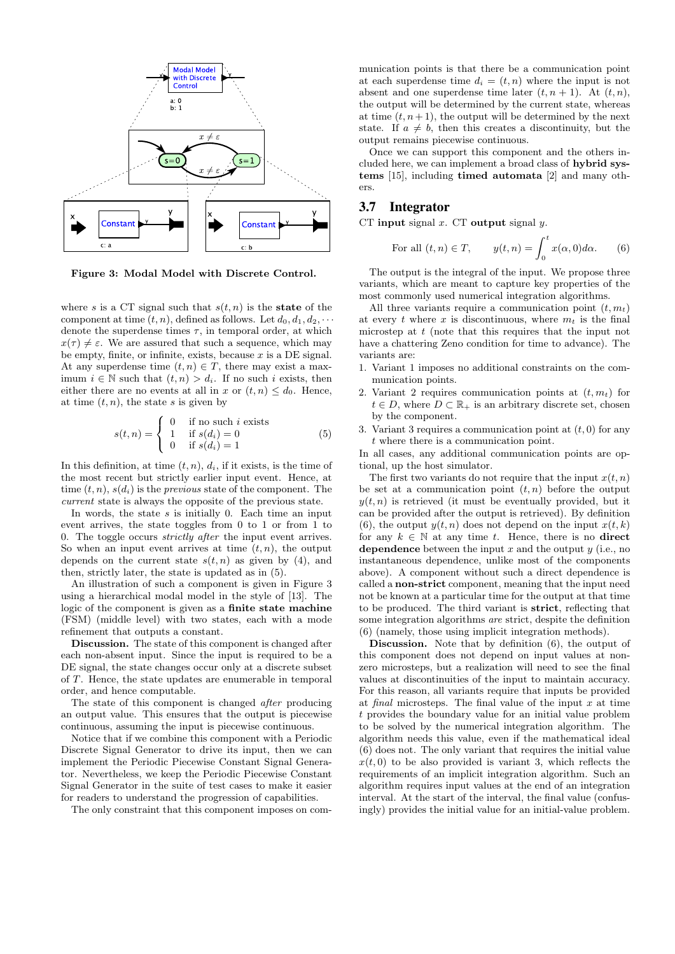

Figure 3: Modal Model with Discrete Control.

where s is a CT signal such that  $s(t, n)$  is the **state** of the component at time  $(t, n)$ , defined as follows. Let  $d_0, d_1, d_2, \cdots$ denote the superdense times  $\tau$ , in temporal order, at which  $x(\tau) \neq \varepsilon$ . We are assured that such a sequence, which may be empty, finite, or infinite, exists, because  $x$  is a DE signal. At any superdense time  $(t, n) \in T$ , there may exist a maximum  $i \in \mathbb{N}$  such that  $(t, n) > d_i$ . If no such i exists, then either there are no events at all in x or  $(t, n) \leq d_0$ . Hence, at time  $(t, n)$ , the state s is given by

$$
s(t, n) = \begin{cases} 0 & \text{if no such } i \text{ exists} \\ 1 & \text{if } s(d_i) = 0 \\ 0 & \text{if } s(d_i) = 1 \end{cases}
$$
 (5)

In this definition, at time  $(t, n)$ ,  $d_i$ , if it exists, is the time of the most recent but strictly earlier input event. Hence, at time  $(t, n)$ ,  $s(d_i)$  is the *previous* state of the component. The current state is always the opposite of the previous state.

In words, the state  $s$  is initially 0. Each time an input event arrives, the state toggles from 0 to 1 or from 1 to 0. The toggle occurs strictly after the input event arrives. So when an input event arrives at time  $(t, n)$ , the output depends on the current state  $s(t, n)$  as given by (4), and then, strictly later, the state is updated as in (5).

An illustration of such a component is given in Figure 3 using a hierarchical modal model in the style of [13]. The logic of the component is given as a finite state machine (FSM) (middle level) with two states, each with a mode refinement that outputs a constant.

Discussion. The state of this component is changed after each non-absent input. Since the input is required to be a DE signal, the state changes occur only at a discrete subset of T. Hence, the state updates are enumerable in temporal order, and hence computable.

The state of this component is changed after producing an output value. This ensures that the output is piecewise continuous, assuming the input is piecewise continuous.

Notice that if we combine this component with a Periodic Discrete Signal Generator to drive its input, then we can implement the Periodic Piecewise Constant Signal Generator. Nevertheless, we keep the Periodic Piecewise Constant Signal Generator in the suite of test cases to make it easier for readers to understand the progression of capabilities.

The only constraint that this component imposes on com-

munication points is that there be a communication point at each superdense time  $d_i = (t, n)$  where the input is not absent and one superdense time later  $(t, n + 1)$ . At  $(t, n)$ , the output will be determined by the current state, whereas at time  $(t, n+1)$ , the output will be determined by the next state. If  $a \neq b$ , then this creates a discontinuity, but the output remains piecewise continuous.

Once we can support this component and the others included here, we can implement a broad class of hybrid systems [15], including timed automata [2] and many others.

#### 3.7 Integrator

CT input signal  $x$ . CT output signal  $y$ .

For all 
$$
(t, n) \in T
$$
,  $y(t, n) = \int_0^t x(\alpha, 0) d\alpha$ . (6)

The output is the integral of the input. We propose three variants, which are meant to capture key properties of the most commonly used numerical integration algorithms.

All three variants require a communication point  $(t, m_t)$ at every t where x is discontinuous, where  $m_t$  is the final microstep at  $t$  (note that this requires that the input not have a chattering Zeno condition for time to advance). The variants are:

- 1. Variant 1 imposes no additional constraints on the communication points.
- 2. Variant 2 requires communication points at  $(t, m_t)$  for  $t \in D$ , where  $D \subset \mathbb{R}_+$  is an arbitrary discrete set, chosen by the component.
- 3. Variant 3 requires a communication point at  $(t, 0)$  for any t where there is a communication point.

In all cases, any additional communication points are optional, up the host simulator.

The first two variants do not require that the input  $x(t, n)$ be set at a communication point  $(t, n)$  before the output  $y(t, n)$  is retrieved (it must be eventually provided, but it can be provided after the output is retrieved). By definition (6), the output  $y(t, n)$  does not depend on the input  $x(t, k)$ for any  $k \in \mathbb{N}$  at any time t. Hence, there is no **direct** dependence between the input  $x$  and the output  $y$  (i.e., no instantaneous dependence, unlike most of the components above). A component without such a direct dependence is called a non-strict component, meaning that the input need not be known at a particular time for the output at that time to be produced. The third variant is strict, reflecting that some integration algorithms are strict, despite the definition (6) (namely, those using implicit integration methods).

Discussion. Note that by definition  $(6)$ , the output of this component does not depend on input values at nonzero microsteps, but a realization will need to see the final values at discontinuities of the input to maintain accuracy. For this reason, all variants require that inputs be provided at final microsteps. The final value of the input  $x$  at time t provides the boundary value for an initial value problem to be solved by the numerical integration algorithm. The algorithm needs this value, even if the mathematical ideal (6) does not. The only variant that requires the initial value  $x(t, 0)$  to be also provided is variant 3, which reflects the requirements of an implicit integration algorithm. Such an algorithm requires input values at the end of an integration interval. At the start of the interval, the final value (confusingly) provides the initial value for an initial-value problem.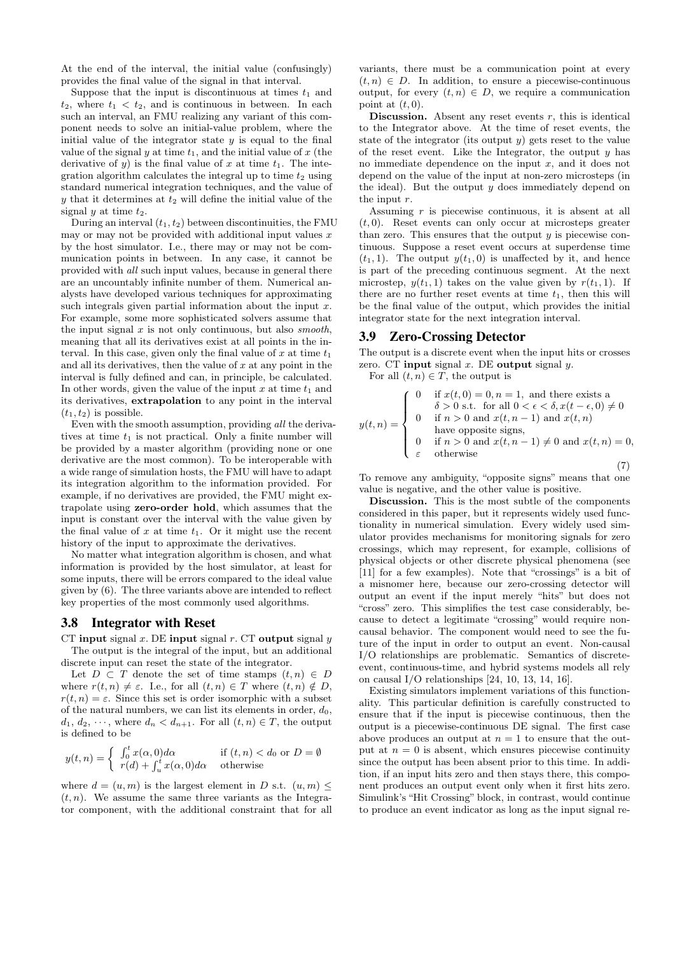At the end of the interval, the initial value (confusingly) provides the final value of the signal in that interval.

Suppose that the input is discontinuous at times  $t_1$  and  $t_2$ , where  $t_1 < t_2$ , and is continuous in between. In each such an interval, an FMU realizing any variant of this component needs to solve an initial-value problem, where the initial value of the integrator state  $y$  is equal to the final value of the signal y at time  $t_1$ , and the initial value of x (the derivative of y) is the final value of x at time  $t_1$ . The integration algorithm calculates the integral up to time  $t_2$  using standard numerical integration techniques, and the value of  $y$  that it determines at  $t_2$  will define the initial value of the signal  $y$  at time  $t_2$ .

During an interval  $(t_1, t_2)$  between discontinuities, the FMU may or may not be provided with additional input values  $x$ by the host simulator. I.e., there may or may not be communication points in between. In any case, it cannot be provided with all such input values, because in general there are an uncountably infinite number of them. Numerical analysts have developed various techniques for approximating such integrals given partial information about the input  $x$ . For example, some more sophisticated solvers assume that the input signal  $x$  is not only continuous, but also *smooth*, meaning that all its derivatives exist at all points in the interval. In this case, given only the final value of  $x$  at time  $t_1$ and all its derivatives, then the value of  $x$  at any point in the interval is fully defined and can, in principle, be calculated. In other words, given the value of the input  $x$  at time  $t_1$  and its derivatives, extrapolation to any point in the interval  $(t_1, t_2)$  is possible.

Even with the smooth assumption, providing all the derivatives at time  $t_1$  is not practical. Only a finite number will be provided by a master algorithm (providing none or one derivative are the most common). To be interoperable with a wide range of simulation hosts, the FMU will have to adapt its integration algorithm to the information provided. For example, if no derivatives are provided, the FMU might extrapolate using zero-order hold, which assumes that the input is constant over the interval with the value given by the final value of x at time  $t_1$ . Or it might use the recent history of the input to approximate the derivatives.

No matter what integration algorithm is chosen, and what information is provided by the host simulator, at least for some inputs, there will be errors compared to the ideal value given by (6). The three variants above are intended to reflect key properties of the most commonly used algorithms.

#### 3.8 Integrator with Reset

CT input signal  $x$ . DE input signal  $r$ . CT output signal  $y$ The output is the integral of the input, but an additional discrete input can reset the state of the integrator.

Let  $D \subset T$  denote the set of time stamps  $(t, n) \in D$ where  $r(t, n) \neq \varepsilon$ . I.e., for all  $(t, n) \in T$  where  $(t, n) \notin D$ ,  $r(t, n) = \varepsilon$ . Since this set is order isomorphic with a subset of the natural numbers, we can list its elements in order,  $d_0$ ,  $d_1, d_2, \dots$ , where  $d_n < d_{n+1}$ . For all  $(t, n) \in T$ , the output is defined to be

$$
y(t,n) = \begin{cases} \int_0^t x(\alpha,0)d\alpha & \text{if } (t,n) < d_0 \text{ or } D = \emptyset \\ r(d) + \int_u^t x(\alpha,0)d\alpha & \text{otherwise} \end{cases}
$$

where  $d = (u, m)$  is the largest element in D s.t.  $(u, m) \le$  $(t, n)$ . We assume the same three variants as the Integrator component, with the additional constraint that for all

variants, there must be a communication point at every  $(t, n) \in D$ . In addition, to ensure a piecewise-continuous output, for every  $(t, n) \in D$ , we require a communication point at  $(t, 0)$ .

**Discussion.** Absent any reset events  $r$ , this is identical to the Integrator above. At the time of reset events, the state of the integrator (its output  $y$ ) gets reset to the value of the reset event. Like the Integrator, the output  $y$  has no immediate dependence on the input  $x$ , and it does not depend on the value of the input at non-zero microsteps (in the ideal). But the output  $y$  does immediately depend on the input r.

Assuming  $r$  is piecewise continuous, it is absent at all  $(t, 0)$ . Reset events can only occur at microsteps greater than zero. This ensures that the output  $y$  is piecewise continuous. Suppose a reset event occurs at superdense time  $(t_1, 1)$ . The output  $y(t_1, 0)$  is unaffected by it, and hence is part of the preceding continuous segment. At the next microstep,  $y(t_1, 1)$  takes on the value given by  $r(t_1, 1)$ . If there are no further reset events at time  $t_1$ , then this will be the final value of the output, which provides the initial integrator state for the next integration interval.

#### 3.9 Zero-Crossing Detector

The output is a discrete event when the input hits or crosses zero. CT input signal  $x$ . DE output signal  $y$ .

For all  $(t, n) \in T$ , the output is

$$
y(t,n) = \begin{cases} 0 & \text{if } x(t,0) = 0, n = 1, \text{ and there exists a} \\ 0 & \text{if } n > 0 \text{ s.t. for all } 0 < \epsilon < \delta, x(t - \epsilon, 0) \neq 0 \\ 0 & \text{if } n > 0 \text{ and } x(t, n - 1) \text{ and } x(t, n) \\ \text{have opposite signs,} \\ 0 & \text{if } n > 0 \text{ and } x(t, n - 1) \neq 0 \text{ and } x(t, n) = 0, \\ \varepsilon & \text{otherwise} \end{cases}
$$
(7)

To remove any ambiguity, "opposite signs" means that one value is negative, and the other value is positive.

Discussion. This is the most subtle of the components considered in this paper, but it represents widely used functionality in numerical simulation. Every widely used simulator provides mechanisms for monitoring signals for zero crossings, which may represent, for example, collisions of physical objects or other discrete physical phenomena (see [11] for a few examples). Note that "crossings" is a bit of a misnomer here, because our zero-crossing detector will output an event if the input merely "hits" but does not "cross" zero. This simplifies the test case considerably, because to detect a legitimate "crossing" would require noncausal behavior. The component would need to see the future of the input in order to output an event. Non-causal I/O relationships are problematic. Semantics of discreteevent, continuous-time, and hybrid systems models all rely on causal I/O relationships [24, 10, 13, 14, 16].

Existing simulators implement variations of this functionality. This particular definition is carefully constructed to ensure that if the input is piecewise continuous, then the output is a piecewise-continuous DE signal. The first case above produces an output at  $n = 1$  to ensure that the output at  $n = 0$  is absent, which ensures piecewise continuity since the output has been absent prior to this time. In addition, if an input hits zero and then stays there, this component produces an output event only when it first hits zero. Simulink's "Hit Crossing" block, in contrast, would continue to produce an event indicator as long as the input signal re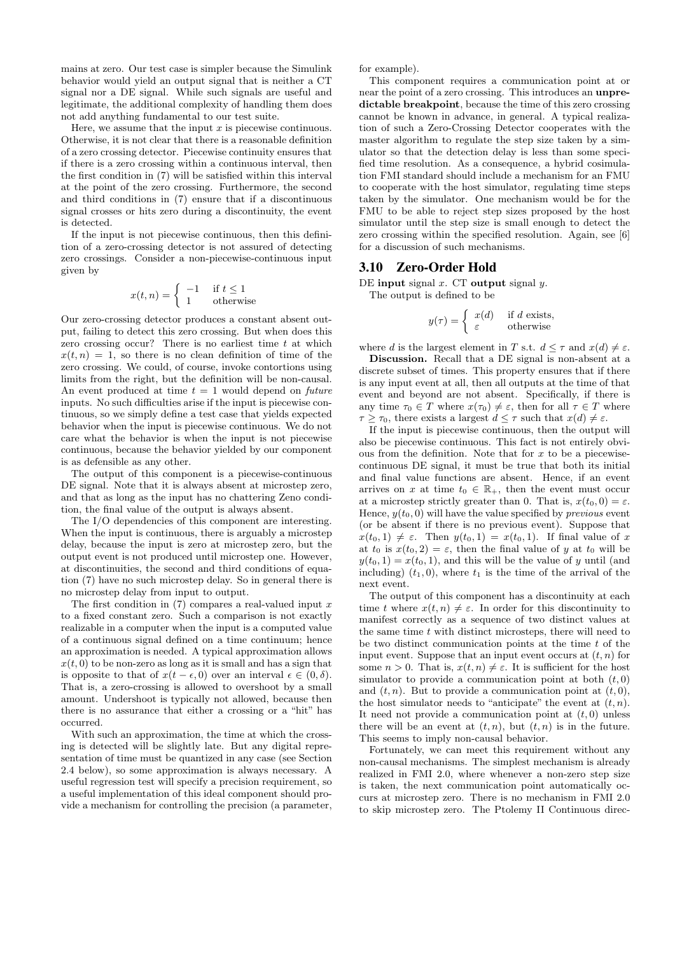mains at zero. Our test case is simpler because the Simulink behavior would yield an output signal that is neither a CT signal nor a DE signal. While such signals are useful and legitimate, the additional complexity of handling them does not add anything fundamental to our test suite.

Here, we assume that the input  $x$  is piecewise continuous. Otherwise, it is not clear that there is a reasonable definition of a zero crossing detector. Piecewise continuity ensures that if there is a zero crossing within a continuous interval, then the first condition in (7) will be satisfied within this interval at the point of the zero crossing. Furthermore, the second and third conditions in (7) ensure that if a discontinuous signal crosses or hits zero during a discontinuity, the event is detected.

If the input is not piecewise continuous, then this definition of a zero-crossing detector is not assured of detecting zero crossings. Consider a non-piecewise-continuous input given by

$$
x(t, n) = \begin{cases} -1 & \text{if } t \le 1\\ 1 & \text{otherwise} \end{cases}
$$

Our zero-crossing detector produces a constant absent output, failing to detect this zero crossing. But when does this zero crossing occur? There is no earliest time  $t$  at which  $x(t, n) = 1$ , so there is no clean definition of time of the zero crossing. We could, of course, invoke contortions using limits from the right, but the definition will be non-causal. An event produced at time  $t = 1$  would depend on *future* inputs. No such difficulties arise if the input is piecewise continuous, so we simply define a test case that yields expected behavior when the input is piecewise continuous. We do not care what the behavior is when the input is not piecewise continuous, because the behavior yielded by our component is as defensible as any other.

The output of this component is a piecewise-continuous DE signal. Note that it is always absent at microstep zero, and that as long as the input has no chattering Zeno condition, the final value of the output is always absent.

The I/O dependencies of this component are interesting. When the input is continuous, there is arguably a microstep delay, because the input is zero at microstep zero, but the output event is not produced until microstep one. However, at discontinuities, the second and third conditions of equation (7) have no such microstep delay. So in general there is no microstep delay from input to output.

The first condition in  $(7)$  compares a real-valued input x to a fixed constant zero. Such a comparison is not exactly realizable in a computer when the input is a computed value of a continuous signal defined on a time continuum; hence an approximation is needed. A typical approximation allows  $x(t, 0)$  to be non-zero as long as it is small and has a sign that is opposite to that of  $x(t - \epsilon, 0)$  over an interval  $\epsilon \in (0, \delta)$ . That is, a zero-crossing is allowed to overshoot by a small amount. Undershoot is typically not allowed, because then there is no assurance that either a crossing or a "hit" has occurred.

With such an approximation, the time at which the crossing is detected will be slightly late. But any digital representation of time must be quantized in any case (see Section 2.4 below), so some approximation is always necessary. A useful regression test will specify a precision requirement, so a useful implementation of this ideal component should provide a mechanism for controlling the precision (a parameter, for example).

This component requires a communication point at or near the point of a zero crossing. This introduces an unpredictable breakpoint, because the time of this zero crossing cannot be known in advance, in general. A typical realization of such a Zero-Crossing Detector cooperates with the master algorithm to regulate the step size taken by a simulator so that the detection delay is less than some specified time resolution. As a consequence, a hybrid cosimulation FMI standard should include a mechanism for an FMU to cooperate with the host simulator, regulating time steps taken by the simulator. One mechanism would be for the FMU to be able to reject step sizes proposed by the host simulator until the step size is small enough to detect the zero crossing within the specified resolution. Again, see [6] for a discussion of such mechanisms.

#### 3.10 Zero-Order Hold

DE input signal  $x$ . CT output signal  $y$ .

The output is defined to be

$$
y(\tau) = \begin{cases} x(d) & \text{if } d \text{ exists,} \\ \varepsilon & \text{otherwise} \end{cases}
$$

where d is the largest element in T s.t.  $d \leq \tau$  and  $x(d) \neq \varepsilon$ .

Discussion. Recall that a DE signal is non-absent at a discrete subset of times. This property ensures that if there is any input event at all, then all outputs at the time of that event and beyond are not absent. Specifically, if there is any time  $\tau_0 \in T$  where  $x(\tau_0) \neq \varepsilon$ , then for all  $\tau \in T$  where  $\tau > \tau_0$ , there exists a largest  $d \leq \tau$  such that  $x(d) \neq \varepsilon$ .

If the input is piecewise continuous, then the output will also be piecewise continuous. This fact is not entirely obvious from the definition. Note that for  $x$  to be a piecewisecontinuous DE signal, it must be true that both its initial and final value functions are absent. Hence, if an event arrives on x at time  $t_0 \in \mathbb{R}_+$ , then the event must occur at a microstep strictly greater than 0. That is,  $x(t_0, 0) = \varepsilon$ . Hence,  $y(t_0, 0)$  will have the value specified by *previous* event (or be absent if there is no previous event). Suppose that  $x(t_0, 1) \neq \varepsilon$ . Then  $y(t_0, 1) = x(t_0, 1)$ . If final value of x at  $t_0$  is  $x(t_0, 2) = \varepsilon$ , then the final value of y at  $t_0$  will be  $y(t_0, 1) = x(t_0, 1)$ , and this will be the value of y until (and including)  $(t_1, 0)$ , where  $t_1$  is the time of the arrival of the next event.

The output of this component has a discontinuity at each time t where  $x(t, n) \neq \varepsilon$ . In order for this discontinuity to manifest correctly as a sequence of two distinct values at the same time  $t$  with distinct microsteps, there will need to be two distinct communication points at the time  $t$  of the input event. Suppose that an input event occurs at  $(t, n)$  for some  $n > 0$ . That is,  $x(t, n) \neq \varepsilon$ . It is sufficient for the host simulator to provide a communication point at both  $(t, 0)$ and  $(t, n)$ . But to provide a communication point at  $(t, 0)$ , the host simulator needs to "anticipate" the event at  $(t, n)$ . It need not provide a communication point at  $(t, 0)$  unless there will be an event at  $(t, n)$ , but  $(t, n)$  is in the future. This seems to imply non-causal behavior.

Fortunately, we can meet this requirement without any non-causal mechanisms. The simplest mechanism is already realized in FMI 2.0, where whenever a non-zero step size is taken, the next communication point automatically occurs at microstep zero. There is no mechanism in FMI 2.0 to skip microstep zero. The Ptolemy II Continuous direc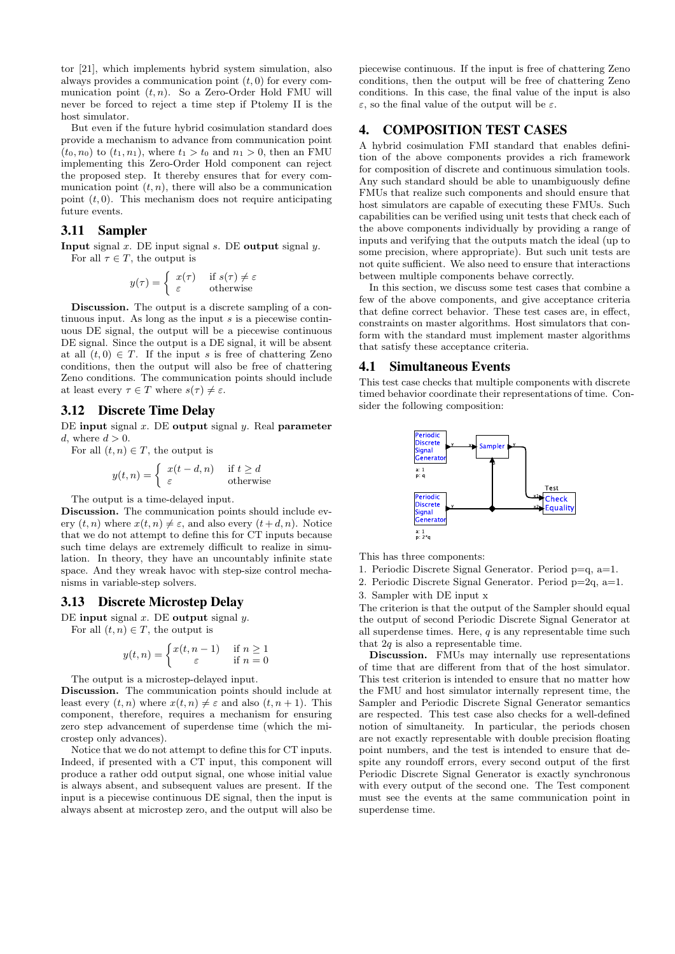tor [21], which implements hybrid system simulation, also always provides a communication point  $(t, 0)$  for every communication point  $(t, n)$ . So a Zero-Order Hold FMU will never be forced to reject a time step if Ptolemy II is the host simulator.

But even if the future hybrid cosimulation standard does provide a mechanism to advance from communication point  $(t_0, n_0)$  to  $(t_1, n_1)$ , where  $t_1 > t_0$  and  $n_1 > 0$ , then an FMU implementing this Zero-Order Hold component can reject the proposed step. It thereby ensures that for every communication point  $(t, n)$ , there will also be a communication point  $(t, 0)$ . This mechanism does not require anticipating future events.

#### 3.11 Sampler

Input signal  $x$ . DE input signal  $s$ . DE output signal  $y$ . For all  $\tau \in T$ , the output is

$$
y(\tau) = \begin{cases} x(\tau) & \text{if } s(\tau) \neq \varepsilon \\ \varepsilon & \text{otherwise} \end{cases}
$$

Discussion. The output is a discrete sampling of a continuous input. As long as the input s is a piecewise continuous DE signal, the output will be a piecewise continuous DE signal. Since the output is a DE signal, it will be absent at all  $(t, 0) \in T$ . If the input s is free of chattering Zeno conditions, then the output will also be free of chattering Zeno conditions. The communication points should include at least every  $\tau \in T$  where  $s(\tau) \neq \varepsilon$ .

#### 3.12 Discrete Time Delay

DE input signal  $x$ . DE output signal  $y$ . Real parameter d, where  $d > 0$ .

For all  $(t, n) \in T$ , the output is

$$
y(t,n) = \begin{cases} x(t-d,n) & \text{if } t \ge d \\ \varepsilon & \text{otherwise} \end{cases}
$$

The output is a time-delayed input.

Discussion. The communication points should include every  $(t, n)$  where  $x(t, n) \neq \varepsilon$ , and also every  $(t + d, n)$ . Notice that we do not attempt to define this for CT inputs because such time delays are extremely difficult to realize in simulation. In theory, they have an uncountably infinite state space. And they wreak havoc with step-size control mechanisms in variable-step solvers.

#### 3.13 Discrete Microstep Delay

DE input signal  $x$ . DE output signal  $y$ .

For all  $(t, n) \in T$ , the output is

$$
y(t,n) = \begin{cases} x(t,n-1) & \text{if } n \ge 1\\ \varepsilon & \text{if } n = 0 \end{cases}
$$

The output is a microstep-delayed input.

Discussion. The communication points should include at least every  $(t, n)$  where  $x(t, n) \neq \varepsilon$  and also  $(t, n + 1)$ . This component, therefore, requires a mechanism for ensuring zero step advancement of superdense time (which the microstep only advances).

Notice that we do not attempt to define this for CT inputs. Indeed, if presented with a CT input, this component will produce a rather odd output signal, one whose initial value is always absent, and subsequent values are present. If the input is a piecewise continuous DE signal, then the input is always absent at microstep zero, and the output will also be

piecewise continuous. If the input is free of chattering Zeno conditions, then the output will be free of chattering Zeno conditions. In this case, the final value of the input is also  $\varepsilon$ , so the final value of the output will be  $\varepsilon$ .

## 4. COMPOSITION TEST CASES

A hybrid cosimulation FMI standard that enables definition of the above components provides a rich framework for composition of discrete and continuous simulation tools. Any such standard should be able to unambiguously define FMUs that realize such components and should ensure that host simulators are capable of executing these FMUs. Such capabilities can be verified using unit tests that check each of the above components individually by providing a range of inputs and verifying that the outputs match the ideal (up to some precision, where appropriate). But such unit tests are not quite sufficient. We also need to ensure that interactions between multiple components behave correctly.

In this section, we discuss some test cases that combine a few of the above components, and give acceptance criteria that define correct behavior. These test cases are, in effect, constraints on master algorithms. Host simulators that conform with the standard must implement master algorithms that satisfy these acceptance criteria.

#### 4.1 Simultaneous Events

This test case checks that multiple components with discrete timed behavior coordinate their representations of time. Consider the following composition:



This has three components:

- 1. Periodic Discrete Signal Generator. Period  $p=a$ ,  $a=1$ .
- 2. Periodic Discrete Signal Generator. Period p=2q, a=1.
- 3. Sampler with DE input x

The criterion is that the output of the Sampler should equal the output of second Periodic Discrete Signal Generator at all superdense times. Here,  $q$  is any representable time such that  $2q$  is also a representable time.

Discussion. FMUs may internally use representations of time that are different from that of the host simulator. This test criterion is intended to ensure that no matter how the FMU and host simulator internally represent time, the Sampler and Periodic Discrete Signal Generator semantics are respected. This test case also checks for a well-defined notion of simultaneity. In particular, the periods chosen are not exactly representable with double precision floating point numbers, and the test is intended to ensure that despite any roundoff errors, every second output of the first Periodic Discrete Signal Generator is exactly synchronous with every output of the second one. The Test component must see the events at the same communication point in superdense time.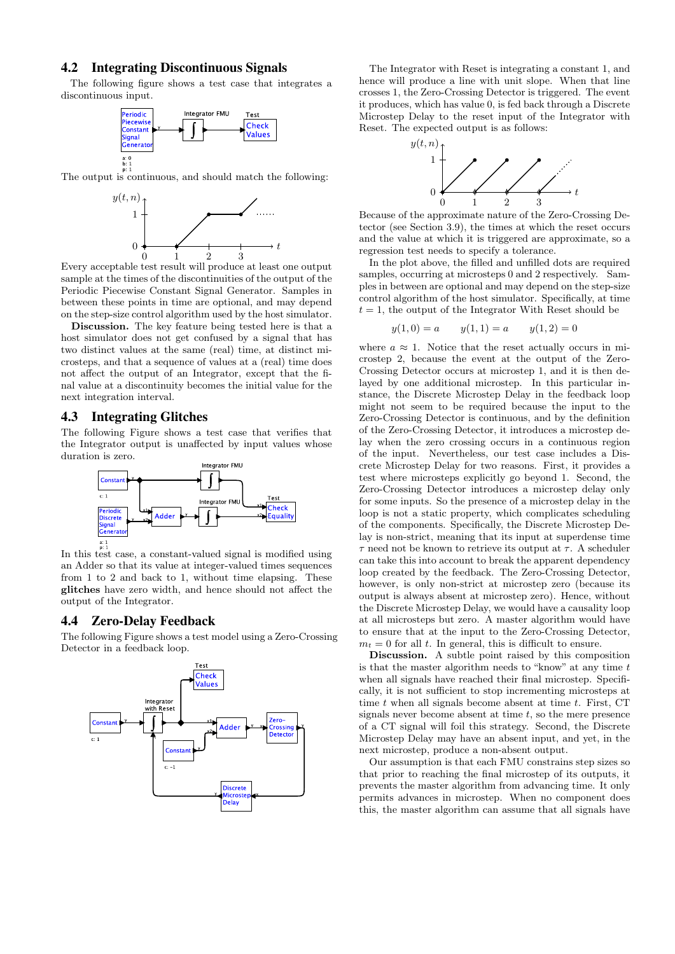## 4.2 Integrating Discontinuous Signals

The following figure shows a test case that integrates a discontinuous input.



The output is continuous, and should match the following:



Every acceptable test result will produce at least one output sample at the times of the discontinuities of the output of the Periodic Piecewise Constant Signal Generator. Samples in between these points in time are optional, and may depend on the step-size control algorithm used by the host simulator.

Discussion. The key feature being tested here is that a host simulator does not get confused by a signal that has two distinct values at the same (real) time, at distinct microsteps, and that a sequence of values at a (real) time does not affect the output of an Integrator, except that the final value at a discontinuity becomes the initial value for the next integration interval.

## 4.3 Integrating Glitches

The following Figure shows a test case that verifies that the Integrator output is unaffected by input values whose duration is zero.



In this test case, a constant-valued signal is modified using an Adder so that its value at integer-valued times sequences from 1 to 2 and back to 1, without time elapsing. These glitches have zero width, and hence should not affect the output of the Integrator.

#### 4.4 Zero-Delay Feedback

The following Figure shows a test model using a Zero-Crossing Detector in a feedback loop.



The Integrator with Reset is integrating a constant 1, and hence will produce a line with unit slope. When that line crosses 1, the Zero-Crossing Detector is triggered. The event it produces, which has value 0, is fed back through a Discrete Microstep Delay to the reset input of the Integrator with Reset. The expected output is as follows:



Because of the approximate nature of the Zero-Crossing Detector (see Section 3.9), the times at which the reset occurs and the value at which it is triggered are approximate, so a regression test needs to specify a tolerance.

In the plot above, the filled and unfilled dots are required samples, occurring at microsteps 0 and 2 respectively. Samples in between are optional and may depend on the step-size control algorithm of the host simulator. Specifically, at time  $t = 1$ , the output of the Integrator With Reset should be

$$
y(1,0) = a
$$
  $y(1,1) = a$   $y(1,2) = 0$ 

where  $a \approx 1$ . Notice that the reset actually occurs in microstep 2, because the event at the output of the Zero-Crossing Detector occurs at microstep 1, and it is then delayed by one additional microstep. In this particular instance, the Discrete Microstep Delay in the feedback loop might not seem to be required because the input to the Zero-Crossing Detector is continuous, and by the definition of the Zero-Crossing Detector, it introduces a microstep delay when the zero crossing occurs in a continuous region of the input. Nevertheless, our test case includes a Discrete Microstep Delay for two reasons. First, it provides a test where microsteps explicitly go beyond 1. Second, the Zero-Crossing Detector introduces a microstep delay only for some inputs. So the presence of a microstep delay in the loop is not a static property, which complicates scheduling of the components. Specifically, the Discrete Microstep Delay is non-strict, meaning that its input at superdense time  $\tau$  need not be known to retrieve its output at  $\tau$ . A scheduler can take this into account to break the apparent dependency loop created by the feedback. The Zero-Crossing Detector, however, is only non-strict at microstep zero (because its output is always absent at microstep zero). Hence, without the Discrete Microstep Delay, we would have a causality loop at all microsteps but zero. A master algorithm would have to ensure that at the input to the Zero-Crossing Detector,  $m_t = 0$  for all t. In general, this is difficult to ensure.

Discussion. A subtle point raised by this composition is that the master algorithm needs to "know" at any time  $t$ when all signals have reached their final microstep. Specifically, it is not sufficient to stop incrementing microsteps at time  $t$  when all signals become absent at time  $t$ . First, CT signals never become absent at time  $t$ , so the mere presence of a CT signal will foil this strategy. Second, the Discrete Microstep Delay may have an absent input, and yet, in the next microstep, produce a non-absent output.

Our assumption is that each FMU constrains step sizes so that prior to reaching the final microstep of its outputs, it prevents the master algorithm from advancing time. It only permits advances in microstep. When no component does this, the master algorithm can assume that all signals have